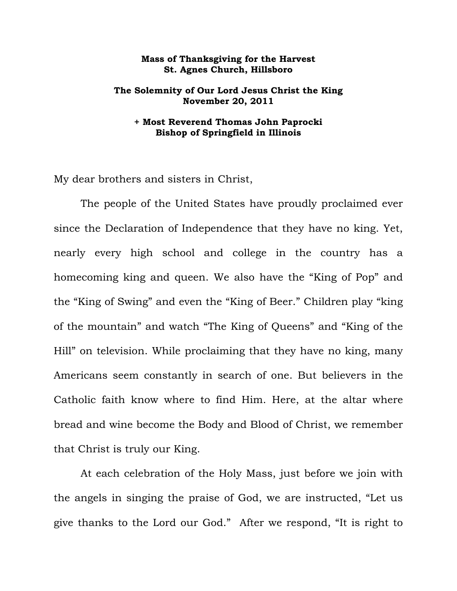## **Mass of Thanksgiving for the Harvest St. Agnes Church, Hillsboro**

## **The Solemnity of Our Lord Jesus Christ the King November 20, 2011**

## **+ Most Reverend Thomas John Paprocki Bishop of Springfield in Illinois**

My dear brothers and sisters in Christ,

 The people of the United States have proudly proclaimed ever since the Declaration of Independence that they have no king. Yet, nearly every high school and college in the country has a homecoming king and queen. We also have the "King of Pop" and the "King of Swing" and even the "King of Beer." Children play "king of the mountain" and watch "The King of Queens" and "King of the Hill" on television. While proclaiming that they have no king, many Americans seem constantly in search of one. But believers in the Catholic faith know where to find Him. Here, at the altar where bread and wine become the Body and Blood of Christ, we remember that Christ is truly our King.

 At each celebration of the Holy Mass, just before we join with the angels in singing the praise of God, we are instructed, "Let us give thanks to the Lord our God." After we respond, "It is right to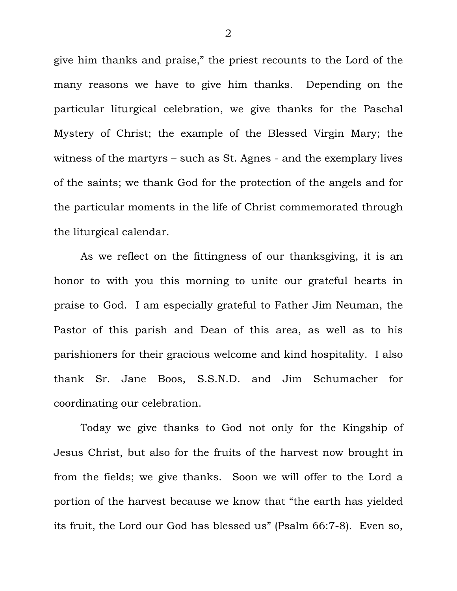give him thanks and praise," the priest recounts to the Lord of the many reasons we have to give him thanks. Depending on the particular liturgical celebration, we give thanks for the Paschal Mystery of Christ; the example of the Blessed Virgin Mary; the witness of the martyrs – such as St. Agnes - and the exemplary lives of the saints; we thank God for the protection of the angels and for the particular moments in the life of Christ commemorated through the liturgical calendar.

 As we reflect on the fittingness of our thanksgiving, it is an honor to with you this morning to unite our grateful hearts in praise to God. I am especially grateful to Father Jim Neuman, the Pastor of this parish and Dean of this area, as well as to his parishioners for their gracious welcome and kind hospitality. I also thank Sr. Jane Boos, S.S.N.D. and Jim Schumacher for coordinating our celebration.

 Today we give thanks to God not only for the Kingship of Jesus Christ, but also for the fruits of the harvest now brought in from the fields; we give thanks. Soon we will offer to the Lord a portion of the harvest because we know that "the earth has yielded its fruit, the Lord our God has blessed us" (Psalm 66:7-8). Even so,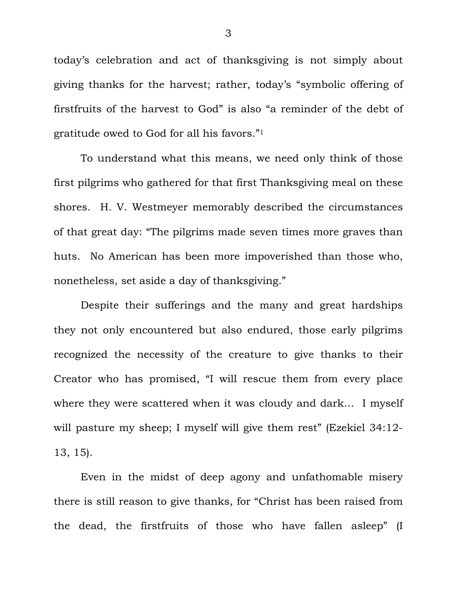today's celebration and act of thanksgiving is not simply about giving thanks for the harvest; rather, today's "symbolic offering of firstfruits of the harvest to God" is also "a reminder of the debt of gratitude owed to God for all his favors."1

 To understand what this means, we need only think of those first pilgrims who gathered for that first Thanksgiving meal on these shores. H. V. Westmeyer memorably described the circumstances of that great day: "The pilgrims made seven times more graves than huts. No American has been more impoverished than those who, nonetheless, set aside a day of thanksgiving."

 Despite their sufferings and the many and great hardships they not only encountered but also endured, those early pilgrims recognized the necessity of the creature to give thanks to their Creator who has promised, "I will rescue them from every place where they were scattered when it was cloudy and dark… I myself will pasture my sheep; I myself will give them rest" (Ezekiel 34:12-13, 15).

 Even in the midst of deep agony and unfathomable misery there is still reason to give thanks, for "Christ has been raised from the dead, the firstfruits of those who have fallen asleep" (I

3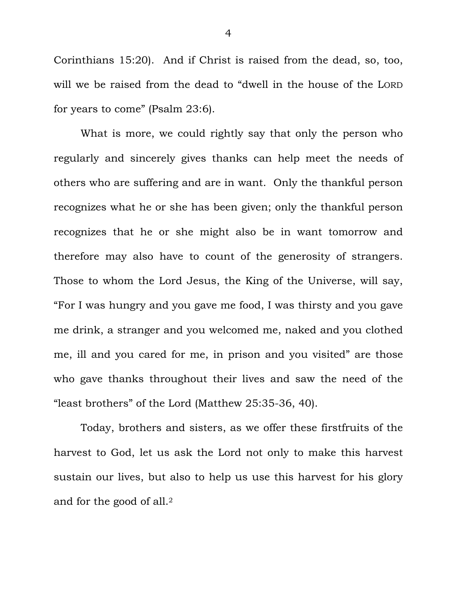Corinthians 15:20). And if Christ is raised from the dead, so, too, will we be raised from the dead to "dwell in the house of the LORD for years to come" (Psalm 23:6).

 What is more, we could rightly say that only the person who regularly and sincerely gives thanks can help meet the needs of others who are suffering and are in want. Only the thankful person recognizes what he or she has been given; only the thankful person recognizes that he or she might also be in want tomorrow and therefore may also have to count of the generosity of strangers. Those to whom the Lord Jesus, the King of the Universe, will say, "For I was hungry and you gave me food, I was thirsty and you gave me drink, a stranger and you welcomed me, naked and you clothed me, ill and you cared for me, in prison and you visited" are those who gave thanks throughout their lives and saw the need of the "least brothers" of the Lord (Matthew 25:35-36, 40).

 Today, brothers and sisters, as we offer these firstfruits of the harvest to God, let us ask the Lord not only to make this harvest sustain our lives, but also to help us use this harvest for his glory and for the good of all.2